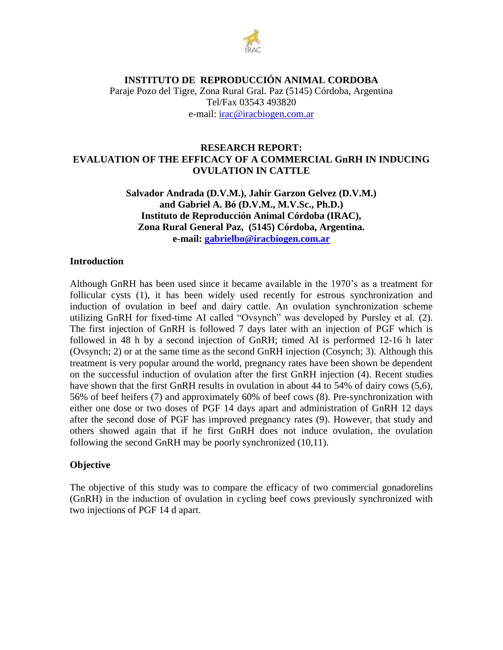

Paraje Pozo del Tigre, Zona Rural Gral. Paz (5145) Córdoba, Argentina Tel/Fax 03543 493820 e-mail: [irac@iracbiogen.com.ar](mailto:irac@iracbiogen.com.ar)

### **RESEARCH REPORT: EVALUATION OF THE EFFICACY OF A COMMERCIAL GnRH IN INDUCING OVULATION IN CATTLE**

**Salvador Andrada (D.V.M.), Jahir Garzon Gelvez (D.V.M.) and Gabriel A. Bó (D.V.M., M.V.Sc., Ph.D.) Instituto de Reproducción Animal Córdoba (IRAC), Zona Rural General Paz, (5145) Córdoba, Argentina. e-mail: [gabrielbo@iracbiogen.com.ar](mailto:gabrielbo@iracbiogen.com.ar)**

#### **Introduction**

Although GnRH has been used since it became available in the 1970's as a treatment for follicular cysts (1), it has been widely used recently for estrous synchronization and induction of ovulation in beef and dairy cattle. An ovulation synchronization scheme utilizing GnRH for fixed-time AI called "Ovsynch" was developed by Pursley et al. (2). The first injection of GnRH is followed 7 days later with an injection of PGF which is followed in 48 h by a second injection of GnRH; timed AI is performed 12-16 h later (Ovsynch; 2) or at the same time as the second GnRH injection (Cosynch; 3). Although this treatment is very popular around the world, pregnancy rates have been shown be dependent on the successful induction of ovulation after the first GnRH injection (4). Recent studies have shown that the first GnRH results in ovulation in about 44 to 54% of dairy cows (5,6), 56% of beef heifers (7) and approximately 60% of beef cows (8). Pre-synchronization with either one dose or two doses of PGF 14 days apart and administration of GnRH 12 days after the second dose of PGF has improved pregnancy rates (9). However, that study and others showed again that if he first GnRH does not induce ovulation, the ovulation following the second GnRH may be poorly synchronized (10,11).

## **Objective**

The objective of this study was to compare the efficacy of two commercial gonadorelins (GnRH) in the induction of ovulation in cycling beef cows previously synchronized with two injections of PGF 14 d apart.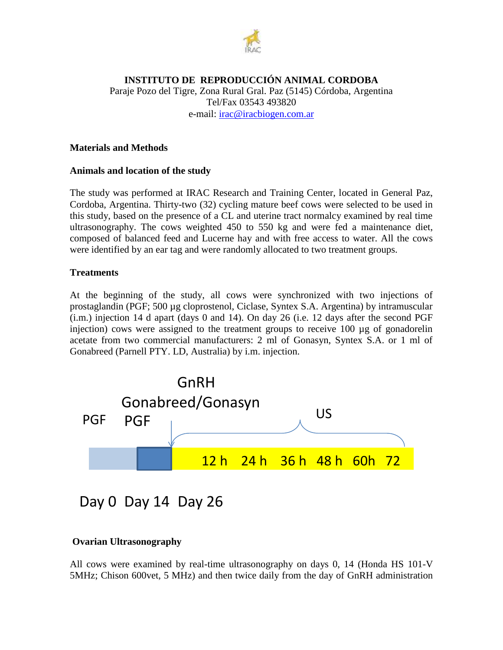

Paraje Pozo del Tigre, Zona Rural Gral. Paz (5145) Córdoba, Argentina Tel/Fax 03543 493820 e-mail: [irac@iracbiogen.com.ar](mailto:irac@iracbiogen.com.ar)

### **Materials and Methods**

#### **Animals and location of the study**

The study was performed at IRAC Research and Training Center, located in General Paz, Cordoba, Argentina. Thirty-two (32) cycling mature beef cows were selected to be used in this study, based on the presence of a CL and uterine tract normalcy examined by real time ultrasonography. The cows weighted 450 to 550 kg and were fed a maintenance diet, composed of balanced feed and Lucerne hay and with free access to water. All the cows were identified by an ear tag and were randomly allocated to two treatment groups.

#### **Treatments**

At the beginning of the study, all cows were synchronized with two injections of prostaglandin (PGF; 500 µg cloprostenol, Ciclase, Syntex S.A. Argentina) by intramuscular (i.m.) injection 14 d apart (days 0 and 14). On day 26 (i.e. 12 days after the second PGF injection) cows were assigned to the treatment groups to receive 100 µg of gonadorelin acetate from two commercial manufacturers: 2 ml of Gonasyn, Syntex S.A. or 1 ml of Gonabreed (Parnell PTY. LD, Australia) by i.m. injection.



Day 0 Day 14 Day 26

## **Ovarian Ultrasonography**

All cows were examined by real-time ultrasonography on days 0, 14 (Honda HS 101-V 5MHz; Chison 600vet, 5 MHz) and then twice daily from the day of GnRH administration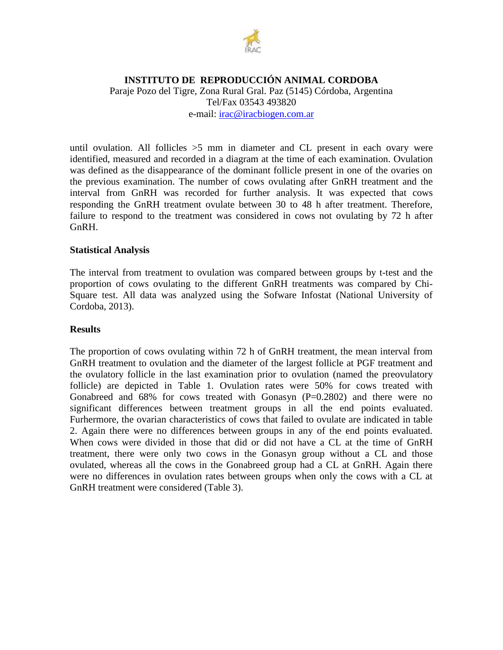

Paraje Pozo del Tigre, Zona Rural Gral. Paz (5145) Córdoba, Argentina Tel/Fax 03543 493820 e-mail: [irac@iracbiogen.com.ar](mailto:irac@iracbiogen.com.ar)

until ovulation. All follicles  $>5$  mm in diameter and CL present in each ovary were identified, measured and recorded in a diagram at the time of each examination. Ovulation was defined as the disappearance of the dominant follicle present in one of the ovaries on the previous examination. The number of cows ovulating after GnRH treatment and the interval from GnRH was recorded for further analysis. It was expected that cows responding the GnRH treatment ovulate between 30 to 48 h after treatment. Therefore, failure to respond to the treatment was considered in cows not ovulating by 72 h after GnRH.

#### **Statistical Analysis**

The interval from treatment to ovulation was compared between groups by t-test and the proportion of cows ovulating to the different GnRH treatments was compared by Chi-Square test. All data was analyzed using the Sofware Infostat (National University of Cordoba, 2013).

#### **Results**

The proportion of cows ovulating within 72 h of GnRH treatment, the mean interval from GnRH treatment to ovulation and the diameter of the largest follicle at PGF treatment and the ovulatory follicle in the last examination prior to ovulation (named the preovulatory follicle) are depicted in Table 1. Ovulation rates were 50% for cows treated with Gonabreed and  $68\%$  for cows treated with Gonasyn  $(P=0.2802)$  and there were no significant differences between treatment groups in all the end points evaluated. Furhermore, the ovarian characteristics of cows that failed to ovulate are indicated in table 2. Again there were no differences between groups in any of the end points evaluated. When cows were divided in those that did or did not have a CL at the time of GnRH treatment, there were only two cows in the Gonasyn group without a CL and those ovulated, whereas all the cows in the Gonabreed group had a CL at GnRH. Again there were no differences in ovulation rates between groups when only the cows with a CL at GnRH treatment were considered (Table 3).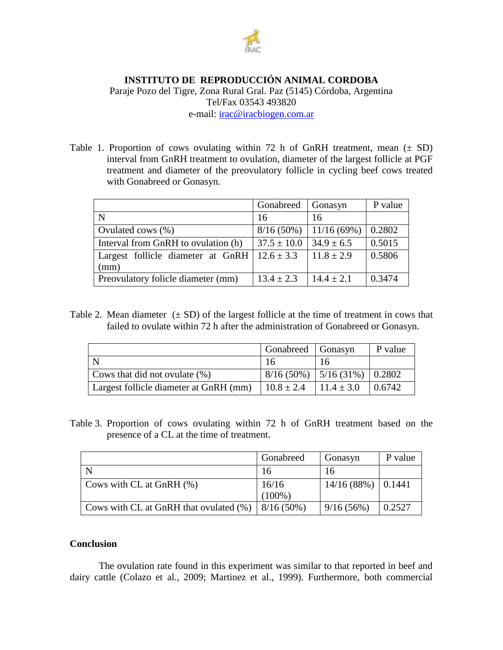

Paraje Pozo del Tigre, Zona Rural Gral. Paz (5145) Córdoba, Argentina Tel/Fax 03543 493820 e-mail: [irac@iracbiogen.com.ar](mailto:irac@iracbiogen.com.ar)

Table 1. Proportion of cows ovulating within 72 h of GnRH treatment, mean  $(\pm SD)$ interval from GnRH treatment to ovulation, diameter of the largest follicle at PGF treatment and diameter of the preovulatory follicle in cycling beef cows treated with Gonabreed or Gonasyn.

|                                                                  | Gonabreed       | Gonasyn        | P value |
|------------------------------------------------------------------|-----------------|----------------|---------|
| N                                                                | 16              | 16             |         |
| Ovulated cows $(\%)$                                             | $8/16(50\%)$    | 11/16(69%)     | 0.2802  |
| Interval from GnRH to ovulation (h)                              | $37.5 \pm 10.0$ | $34.9 \pm 6.5$ | 0.5015  |
| Largest follicle diameter at GnRH $\vert$ 12.6 $\pm$ 3.3<br>(mm) |                 | $11.8 \pm 2.9$ | 0.5806  |
|                                                                  |                 |                |         |
| Preovulatory folicle diameter (mm)                               | $13.4 \pm 2.3$  | $14.4 \pm 2.1$ | 0.3474  |

Table 2. Mean diameter  $(\pm SD)$  of the largest follicle at the time of treatment in cows that failed to ovulate within 72 h after the administration of Gonabreed or Gonasyn.

|                                        | Gonabreed Gonasyn                  |    | P value |
|----------------------------------------|------------------------------------|----|---------|
|                                        |                                    | 16 |         |
| Cows that did not ovulate $(\%)$       | $8/16(50\%)$   5/16(31\%)   0.2802 |    |         |
| Largest follicle diameter at GnRH (mm) | $10.8 \pm 2.4$ $11.4 \pm 3.0$      |    | 0.6742  |

Table 3. Proportion of cows ovulating within 72 h of GnRH treatment based on the presence of a CL at the time of treatment.

|                                           | Gonabreed    | Gonasyn             | P value |
|-------------------------------------------|--------------|---------------------|---------|
|                                           | 16           | 16                  |         |
| Cows with $CL$ at GnRH $(\%)$             | 16/16        | $14/16(88%)$ 0.1441 |         |
|                                           | $(100\%)$    |                     |         |
| Cows with CL at GnRH that ovulated $(\%)$ | $8/16(50\%)$ | 9/16(56%)           | 0.2527  |

## **Conclusion**

The ovulation rate found in this experiment was similar to that reported in beef and dairy cattle (Colazo et al., 2009; Martinez et al., 1999). Furthermore, both commercial